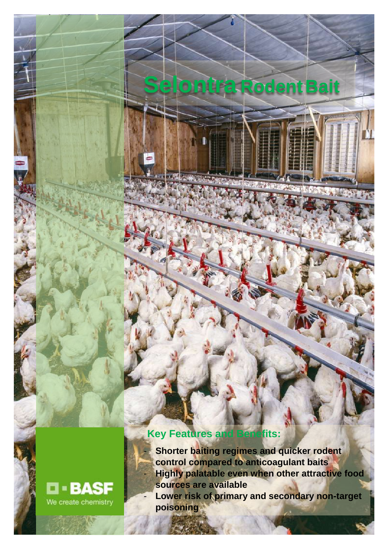## **Key Features and Benefits:**

- **Shorter baiting regimes and quicker rodent control compared to anticoagulant baits** - **Highly palatable even when other attractive food sources are available Lower risk of primary and secondary non-target poisoning**

- **Suitable for burrow and fence line baiting**

**Selontra RodentBait**